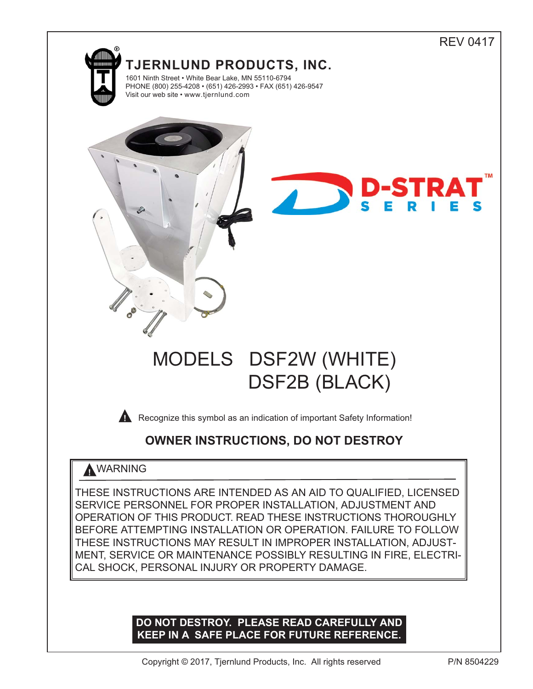

# **DO NOT DESTROY. PLEASE READ CAREFULLY AND KEEP IN A SAFE PLACE FOR FUTURE REFERENCE.**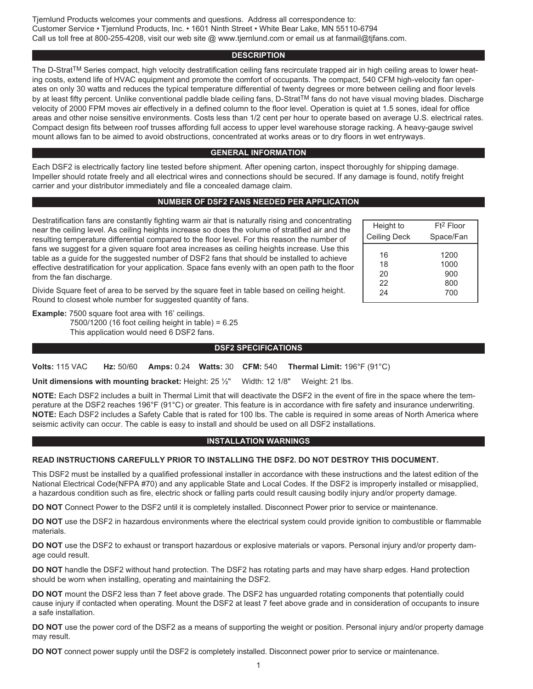## **DESCRIPTION**

The D-Strat<sup>TM</sup> Series compact, high velocity destratification ceiling fans recirculate trapped air in high ceiling areas to lower heating costs, extend life of HVAC equipment and promote the comfort of occupants. The compact, 540 CFM high-velocity fan operates on only 30 watts and reduces the typical temperature differential of twenty degrees or more between ceiling and floor levels by at least fifty percent. Unlike conventional paddle blade ceiling fans, D-Strat™ fans do not have visual moving blades. Discharge velocity of 2000 FPM moves air effectively in a defined column to the floor level. Operation is quiet at 1.5 sones, ideal for office areas and other noise sensitive environments. Costs less than 1/2 cent per hour to operate based on average U.S. electrical rates. Compact design fits between roof trusses affording full access to upper level warehouse storage racking. A heavy-gauge swivel mount allows fan to be aimed to avoid obstructions, concentrated at works areas or to dry floors in wet entryways.

## **GENERAL INFORMATION**

Each DSF2 is electrically factory line tested before shipment. After opening carton, inspect thoroughly for shipping damage. Impeller should rotate freely and all electrical wires and connections should be secured. If any damage is found, notify freight carrier and your distributor immediately and file a concealed damage claim.

## **NUMBER OF DSF2 FANS NEEDED PER APPLICATION**

Destratification fans are constantly fighting warm air that is naturally rising and concentrating near the ceiling level. As ceiling heights increase so does the volume of stratified air and the resulting temperature differential compared to the floor level. For this reason the number of fans we suggest for a given square foot area increases as ceiling heights increase. Use this table as a guide for the suggested number of DSF2 fans that should be installed to achieve effective destratification for your application. Space fans evenly with an open path to the floor from the fan discharge.

| Height to           | Ft <sup>2</sup> Floor |
|---------------------|-----------------------|
| <b>Ceiling Deck</b> | Space/Fan             |
|                     |                       |
| 16                  | 1200                  |
| 18                  | 1000                  |
| 20                  | 900                   |
| 22                  | 800                   |
| 24                  | 700                   |

Divide Square feet of area to be served by the square feet in table based on ceiling height. Round to closest whole number for suggested quantity of fans.

**Example:** 7500 square foot area with 16' ceilings. 7500/1200 (16 foot ceiling height in table) = 6.25 This application would need 6 DSF2 fans.

## **DSF2 SPECIFICATIONS**

**Volts:** 115 VAC **Hz:** 50/60 **Amps:** 0.24 **Watts:** 30 **CFM:** 540 **Thermal Limit:** 196°F (91°C)

**Unit dimensions with mounting bracket:** Height: 25 ½" Width: 12 1/8" Weight: 21 lbs.

**NOTE:** Each DSF2 includes a built in Thermal Limit that will deactivate the DSF2 in the event of fire in the space where the temperature at the DSF2 reaches 196°F (91°C) or greater. This feature is in accordance with fire safety and insurance underwriting. **NOTE:** Each DSF2 includes a Safety Cable that is rated for 100 lbs. The cable is required in some areas of North America where seismic activity can occur. The cable is easy to install and should be used on all DSF2 installations.

## **INSTALLATION WARNINGS**

## **READ INSTRUCTIONS CAREFULLY PRIOR TO INSTALLING THE DSF2. DO NOT DESTROY THIS DOCUMENT.**

This DSF2 must be installed by a qualified professional installer in accordance with these instructions and the latest edition of the National Electrical Code(NFPA #70) and any applicable State and Local Codes. If the DSF2 is improperly installed or misapplied, a hazardous condition such as fire, electric shock or falling parts could result causing bodily injury and/or property damage.

**DO NOT** Connect Power to the DSF2 until it is completely installed. Disconnect Power prior to service or maintenance.

**DO NOT** use the DSF2 in hazardous environments where the electrical system could provide ignition to combustible or flammable materials.

**DO NOT** use the DSF2 to exhaust or transport hazardous or explosive materials or vapors. Personal injury and/or property damage could result.

**DO NOT** handle the DSF2 without hand protection. The DSF2 has rotating parts and may have sharp edges. Hand protection should be worn when installing, operating and maintaining the DSF2.

**DO NOT** mount the DSF2 less than 7 feet above grade. The DSF2 has unguarded rotating components that potentially could cause injury if contacted when operating. Mount the DSF2 at least 7 feet above grade and in consideration of occupants to insure a safe installation.

**DO NOT** use the power cord of the DSF2 as a means of supporting the weight or position. Personal injury and/or property damage may result.

**DO NOT** connect power supply until the DSF2 is completely installed. Disconnect power prior to service or maintenance.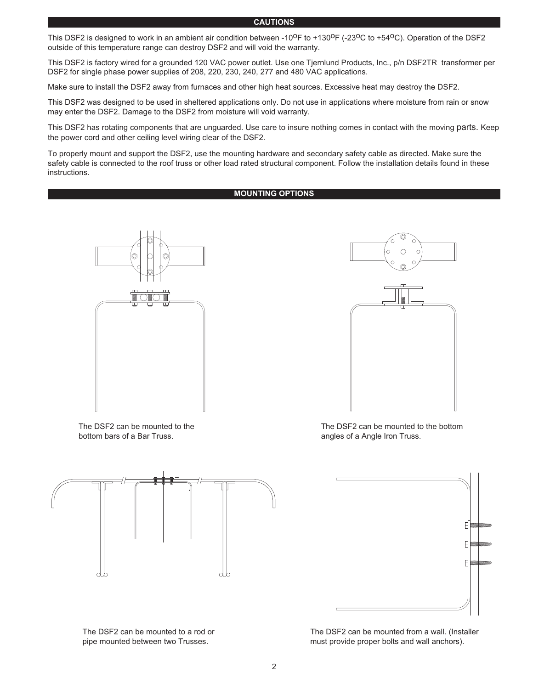#### **CAUTIONS**

This DSF2 is designed to work in an ambient air condition between -10<sup>0</sup>F to +130<sup>0</sup>F (-23<sup>0</sup>C to +54<sup>0</sup>C). Operation of the DSF2 outside of this temperature range can destroy DSF2 and will void the warranty.

This DSF2 is factory wired for a grounded 120 VAC power outlet. Use one Tjernlund Products, Inc., p/n DSF2TR transformer per DSF2 for single phase power supplies of 208, 220, 230, 240, 277 and 480 VAC applications.

Make sure to install the DSF2 away from furnaces and other high heat sources. Excessive heat may destroy the DSF2.

This DSF2 was designed to be used in sheltered applications only. Do not use in applications where moisture from rain or snow may enter the DSF2. Damage to the DSF2 from moisture will void warranty.

This DSF2 has rotating components that are unguarded. Use care to insure nothing comes in contact with the moving parts. Keep the power cord and other ceiling level wiring clear of the DSF2.

To properly mount and support the DSF2, use the mounting hardware and secondary safety cable as directed. Make sure the safety cable is connected to the roof truss or other load rated structural component. Follow the installation details found in these instructions.

## **MOUNTING OPTIONS**



The DSF2 can be mounted to the bottom bars of a Bar Truss.



The DSF2 can be mounted to a rod or pipe mounted between two Trusses.



The DSF2 can be mounted to the bottom angles of a Angle Iron Truss.



The DSF2 can be mounted from a wall. (Installer must provide proper bolts and wall anchors).